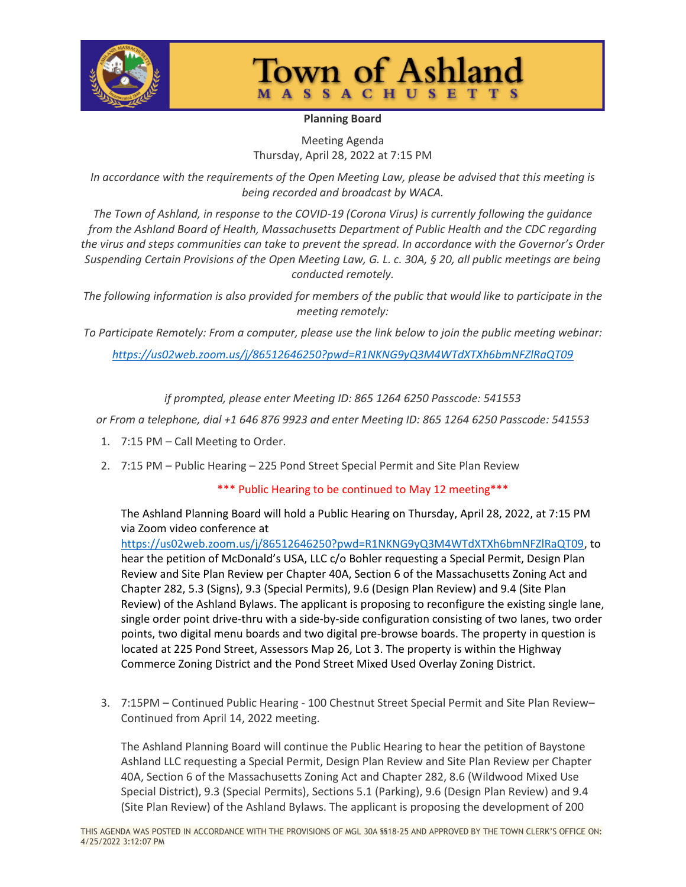

## **Town of Ashland MASSACHUSETTS**

## **Planning Board**

Meeting Agenda Thursday, April 28, 2022 at 7:15 PM

*In accordance with the requirements of the Open Meeting Law, please be advised that this meeting is being recorded and broadcast by WACA.*

*The Town of Ashland, in response to the COVID-19 (Corona Virus) is currently following the guidance from the Ashland Board of Health, Massachusetts Department of Public Health and the CDC regarding the virus and steps communities can take to prevent the spread. In accordance with the Governor's Order Suspending Certain Provisions of the Open Meeting Law, G. L. c. 30A, § 20, all public meetings are being conducted remotely.*

*The following information is also provided for members of the public that would like to participate in the meeting remotely:*

*To Participate Remotely: From a computer, please use the link below to join the public meeting webinar:*

*<https://us02web.zoom.us/j/86512646250?pwd=R1NKNG9yQ3M4WTdXTXh6bmNFZlRaQT09>*

*if prompted, please enter Meeting ID: 865 1264 6250 Passcode: 541553*

*or From a telephone, dial +1 646 876 9923 and enter Meeting ID: 865 1264 6250 Passcode: 541553*

- 1. 7:15 PM Call Meeting to Order.
- 2. 7:15 PM Public Hearing 225 Pond Street Special Permit and Site Plan Review

## \*\*\* Public Hearing to be continued to May 12 meeting\*\*\*

The Ashland Planning Board will hold a Public Hearing on Thursday, April 28, 2022, at 7:15 PM via Zoom video conference at

[https://us02web.zoom.us/j/86512646250?pwd=R1NKNG9yQ3M4WTdXTXh6bmNFZlRaQT09,](https://us02web.zoom.us/j/86512646250?pwd=R1NKNG9yQ3M4WTdXTXh6bmNFZlRaQT09) to hear the petition of McDonald's USA, LLC c/o Bohler requesting a Special Permit, Design Plan Review and Site Plan Review per Chapter 40A, Section 6 of the Massachusetts Zoning Act and Chapter 282, 5.3 (Signs), 9.3 (Special Permits), 9.6 (Design Plan Review) and 9.4 (Site Plan Review) of the Ashland Bylaws. The applicant is proposing to reconfigure the existing single lane, single order point drive-thru with a side-by-side configuration consisting of two lanes, two order points, two digital menu boards and two digital pre-browse boards. The property in question is located at 225 Pond Street, Assessors Map 26, Lot 3. The property is within the Highway Commerce Zoning District and the Pond Street Mixed Used Overlay Zoning District.

3. 7:15PM – Continued Public Hearing - 100 Chestnut Street Special Permit and Site Plan Review– Continued from April 14, 2022 meeting.

The Ashland Planning Board will continue the Public Hearing to hear the petition of Baystone Ashland LLC requesting a Special Permit, Design Plan Review and Site Plan Review per Chapter 40A, Section 6 of the Massachusetts Zoning Act and Chapter 282, 8.6 (Wildwood Mixed Use Special District), 9.3 (Special Permits), Sections 5.1 (Parking), 9.6 (Design Plan Review) and 9.4 (Site Plan Review) of the Ashland Bylaws. The applicant is proposing the development of 200